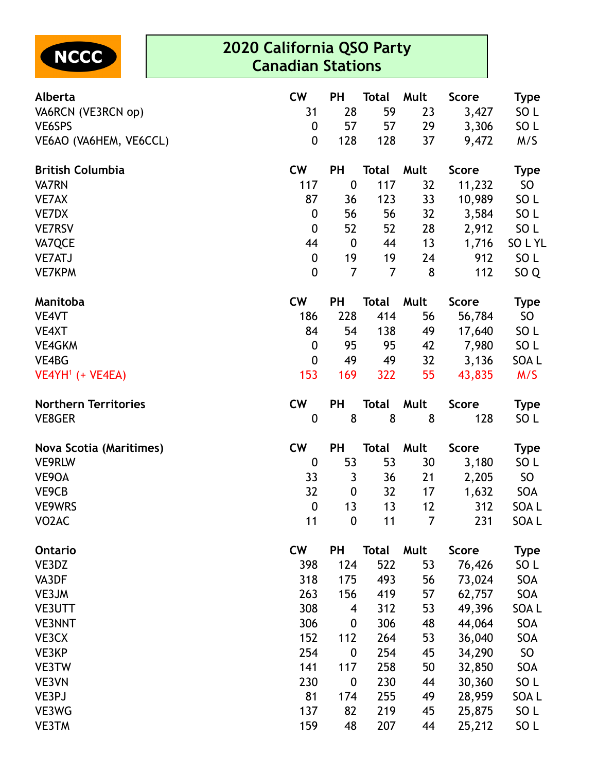

## **2020 California QSO Party Canadian Stations**

| Alberta                        | <b>CW</b>        | <b>PH</b>        | <b>Total</b>   | Mult | <b>Score</b> | <b>Type</b>     |
|--------------------------------|------------------|------------------|----------------|------|--------------|-----------------|
| VA6RCN (VE3RCN op)             | 31               | 28               | 59             | 23   | 3,427        | SO <sub>L</sub> |
| VE6SPS                         | $\boldsymbol{0}$ | 57               | 57             | 29   | 3,306        | SO <sub>L</sub> |
| VE6AO (VA6HEM, VE6CCL)         | $\boldsymbol{0}$ | 128              | 128            | 37   | 9,472        | M/S             |
| <b>British Columbia</b>        | <b>CW</b>        | <b>PH</b>        | <b>Total</b>   | Mult | <b>Score</b> | <b>Type</b>     |
| <b>VA7RN</b>                   | 117              | $\boldsymbol{0}$ | 117            | 32   | 11,232       | SO              |
| <b>VE7AX</b>                   | 87               | 36               | 123            | 33   | 10,989       | SO <sub>L</sub> |
| VE7DX                          | $\boldsymbol{0}$ | 56               | 56             | 32   | 3,584        | SO <sub>L</sub> |
| <b>VE7RSV</b>                  | $\boldsymbol{0}$ | 52               | 52             | 28   | 2,912        | SO <sub>L</sub> |
| VA7QCE                         | 44               | $\boldsymbol{0}$ | 44             | 13   | 1,716        | SOLYL           |
| <b>VE7ATJ</b>                  | $\boldsymbol{0}$ | 19               | 19             | 24   | 912          | SO <sub>L</sub> |
| <b>VE7KPM</b>                  | $\boldsymbol{0}$ | $\overline{7}$   | $\overline{7}$ | 8    | 112          | SO <sub>Q</sub> |
| Manitoba                       | <b>CW</b>        | <b>PH</b>        | <b>Total</b>   | Mult | <b>Score</b> | <b>Type</b>     |
| VE4VT                          | 186              | 228              | 414            | 56   | 56,784       | SO              |
| VE4XT                          | 84               | 54               | 138            | 49   | 17,640       | SO <sub>L</sub> |
| <b>VE4GKM</b>                  | $\boldsymbol{0}$ | 95               | 95             | 42   | 7,980        | SO <sub>L</sub> |
| VE4BG                          | $\boldsymbol{0}$ | 49               | 49             | 32   | 3,136        | SOA L           |
| $VEAYH1$ (+ VE4EA)             | 153              | 169              | 322            | 55   | 43,835       | M/S             |
| <b>Northern Territories</b>    | <b>CW</b>        | <b>PH</b>        | <b>Total</b>   | Mult | <b>Score</b> | <b>Type</b>     |
| <b>VE8GER</b>                  | $\boldsymbol{0}$ | 8                | 8              | 8    | 128          | SO <sub>L</sub> |
| <b>Nova Scotia (Maritimes)</b> | <b>CW</b>        | PH               | <b>Total</b>   | Mult | <b>Score</b> | <b>Type</b>     |
| <b>VE9RLW</b>                  | $\boldsymbol{0}$ | 53               | 53             | 30   | 3,180        | SO <sub>L</sub> |
| VE9OA                          | 33               | 3                | 36             | 21   | 2,205        | SO <sub>1</sub> |
| VE9CB                          | 32               | 0                | 32             | 17   | 1,632        | SOA             |
| <b>VE9WRS</b>                  | $\boldsymbol{0}$ | 13               | 13             | 12   | 312          | SOA L           |
| VO <sub>2</sub> AC             | 11               | $\mathbf{0}$     | 11             | 7    | 231          | SOA L           |
| <b>Ontario</b>                 | <b>CW</b>        | PH               | <b>Total</b>   | Mult | <b>Score</b> | <b>Type</b>     |
| VE3DZ                          | 398              | 124              | 522            | 53   | 76,426       | SO <sub>L</sub> |
| VA3DF                          | 318              | 175              | 493            | 56   | 73,024       | SOA             |
| VE3JM                          | 263              | 156              | 419            | 57   | 62,757       | SOA             |
| <b>VE3UTT</b>                  | 308              | 4                | 312            | 53   | 49,396       | SOA L           |
| <b>VE3NNT</b>                  | 306              | 0                | 306            | 48   | 44,064       | SOA             |
| VE3CX                          | 152              | 112              | 264            | 53   | 36,040       | SOA             |
| VE3KP                          | 254              | $\boldsymbol{0}$ | 254            | 45   | 34,290       | SO              |
| VE3TW                          | 141              | 117              | 258            | 50   | 32,850       | SOA             |
| VE3VN                          | 230              | 0                | 230            | 44   | 30,360       | SO <sub>L</sub> |
| VE3PJ                          | 81               | 174              | 255            | 49   | 28,959       | SOA L           |
| VE3WG                          | 137              | 82               | 219            | 45   | 25,875       | SO <sub>L</sub> |
| <b>VE3TM</b>                   | 159              | 48               | 207            | 44   | 25,212       | SO <sub>L</sub> |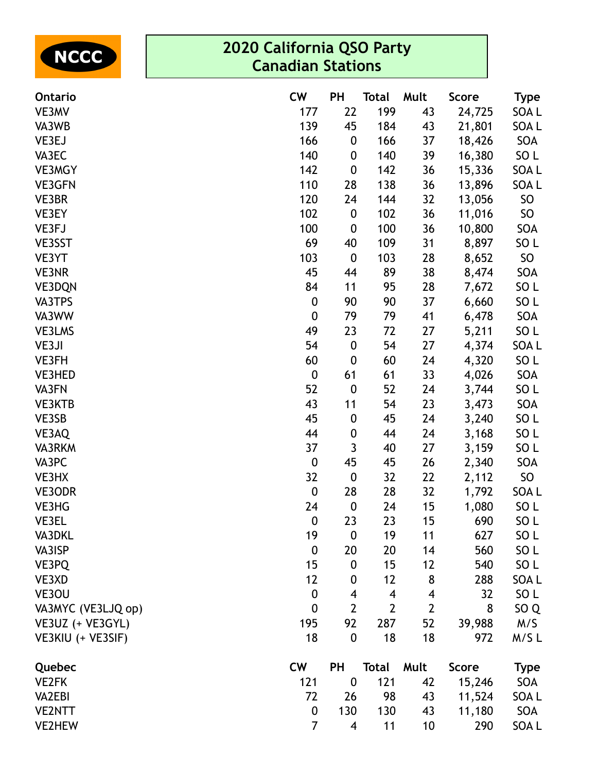| <b>ENCCC</b> |
|--------------|
|--------------|

## **2020 California QSO Party Canadian Stations**

| Ontario            | <b>CW</b>        | <b>PH</b>                | Total                   | Mult           | <b>Score</b> | <b>Type</b>      |
|--------------------|------------------|--------------------------|-------------------------|----------------|--------------|------------------|
| VE3MV              | 177              | 22                       | 199                     | 43             | 24,725       | SOA L            |
| VA3WB              | 139              | 45                       | 184                     | 43             | 21,801       | SOA L            |
| VE3EJ              | 166              | $\boldsymbol{0}$         | 166                     | 37             | 18,426       | SOA              |
| VA3EC              | 140              | $\boldsymbol{0}$         | 140                     | 39             | 16,380       | SO L             |
| <b>VE3MGY</b>      | 142              | $\boldsymbol{0}$         | 142                     | 36             | 15,336       | SOA L            |
| <b>VE3GFN</b>      | 110              | 28                       | 138                     | 36             | 13,896       | SOA <sub>L</sub> |
| VE3BR              | 120              | 24                       | 144                     | 32             | 13,056       | <b>SO</b>        |
| VE3EY              | 102              | $\boldsymbol{0}$         | 102                     | 36             | 11,016       | SO               |
| VE3FJ              | 100              | $\boldsymbol{0}$         | 100                     | 36             | 10,800       | SOA              |
| VE3SST             | 69               | 40                       | 109                     | 31             | 8,897        | SO <sub>L</sub>  |
| VE3YT              | 103              | $\boldsymbol{0}$         | 103                     | 28             | 8,652        | SO               |
| <b>VE3NR</b>       | 45               | 44                       | 89                      | 38             | 8,474        | SOA              |
| <b>VE3DQN</b>      | 84               | 11                       | 95                      | 28             | 7,672        | SO <sub>L</sub>  |
| VA3TPS             | $\boldsymbol{0}$ | 90                       | 90                      | 37             | 6,660        | SO <sub>L</sub>  |
| VA3WW              | $\pmb{0}$        | 79                       | 79                      | 41             | 6,478        | SOA              |
| VE3LMS             | 49               | 23                       | 72                      | 27             | 5,211        | SO <sub>L</sub>  |
| VE3JI              | 54               | $\pmb{0}$                | 54                      | 27             | 4,374        | SOA L            |
| VE3FH              | 60               | $\boldsymbol{0}$         | 60                      | 24             | 4,320        | SO <sub>L</sub>  |
| VE3HED             | $\boldsymbol{0}$ | 61                       | 61                      | 33             | 4,026        | SOA              |
| VA3FN              | 52               | $\boldsymbol{0}$         | 52                      | 24             | 3,744        | SO <sub>L</sub>  |
| VE3KTB             | 43               | 11                       | 54                      | 23             | 3,473        | SOA              |
| VE3SB              | 45               | $\boldsymbol{0}$         | 45                      | 24             | 3,240        | SO <sub>L</sub>  |
| VE3AQ              | 44               | $\boldsymbol{0}$         | 44                      | 24             | 3,168        | SO <sub>L</sub>  |
| VA3RKM             | 37               | 3                        | 40                      | 27             | 3,159        | SO <sub>L</sub>  |
| VA3PC              | $\pmb{0}$        | 45                       | 45                      | 26             | 2,340        | SOA              |
| VE3HX              | 32               | $\boldsymbol{0}$         | 32                      | 22             | 2,112        | SO               |
| VE3ODR             | $\pmb{0}$        | 28                       | 28                      | 32             | 1,792        | SOA L            |
| VE3HG              | 24               | $\boldsymbol{0}$         | 24                      | 15             | 1,080        | SO <sub>L</sub>  |
| <b>VE3EL</b>       | $\boldsymbol{0}$ | 23                       | 23                      | 15             | 690          | SO <sub>L</sub>  |
| VA3DKL             | 19               | $\boldsymbol{0}$         | 19                      | 11             | 627          | SO <sub>L</sub>  |
| VA3ISP             | $\boldsymbol{0}$ | 20                       | 20                      | 14             | 560          | SO <sub>L</sub>  |
| VE3PQ              | 15               | $\boldsymbol{0}$         | 15                      | 12             | 540          | SO <sub>L</sub>  |
| VE3XD              | 12               | 0                        | 12                      | 8              | 288          | SOA L            |
| VE3OU              | $\mathbf 0$      | $\overline{\mathbf{4}}$  | $\overline{\mathbf{4}}$ | 4              | 32           | SO <sub>L</sub>  |
| VA3MYC (VE3LJQ op) | $\boldsymbol{0}$ | $\overline{2}$           | $\mathbf{2}$            | $\overline{2}$ | 8            | SO <sub>Q</sub>  |
| VE3UZ (+ VE3GYL)   | 195              | 92                       | 287                     | 52             | 39,988       | M/S              |
| VE3KIU (+ VE3SIF)  | 18               | $\mathbf{0}$             | 18                      | 18             | 972          | M/SL             |
| Quebec             | <b>CW</b>        | <b>PH</b>                | <b>Total</b>            | Mult           | <b>Score</b> | <b>Type</b>      |
| <b>VE2FK</b>       | 121              | $\boldsymbol{0}$         | 121                     | 42             | 15,246       | SOA              |
| <b>VA2EBI</b>      | 72               | 26                       | 98                      | 43             | 11,524       | SOA L            |
| <b>VE2NTT</b>      | $\boldsymbol{0}$ | 130                      | 130                     | 43             | 11,180       | SOA              |
| <b>VE2HEW</b>      | $\overline{7}$   | $\overline{\mathcal{A}}$ | 11                      | 10             | 290          | SOA L            |